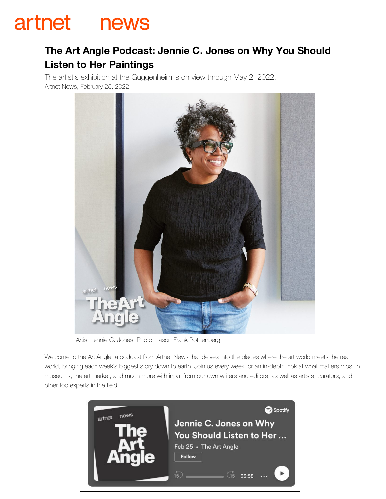## artnet news

## **The Art Angle Podcast: Jennie C. Jones on Why You Should Listen to Her Paintings**

The artist's exhibition at the Guggenheim is on view through May 2, 2022. Artnet News, February 25, 2022



Artist Jennie C. Jones. Photo: Jason Frank Rothenberg.

Welcome to the Art Angle, a podcast from Artnet News that delves into the places where the art world meets the real world, bringing each week's biggest story down to earth. Join us every week for an in-depth look at what matters most in museums, the art market, and much more with input from our own writers and editors, as well as artists, curators, and other top experts in the field.